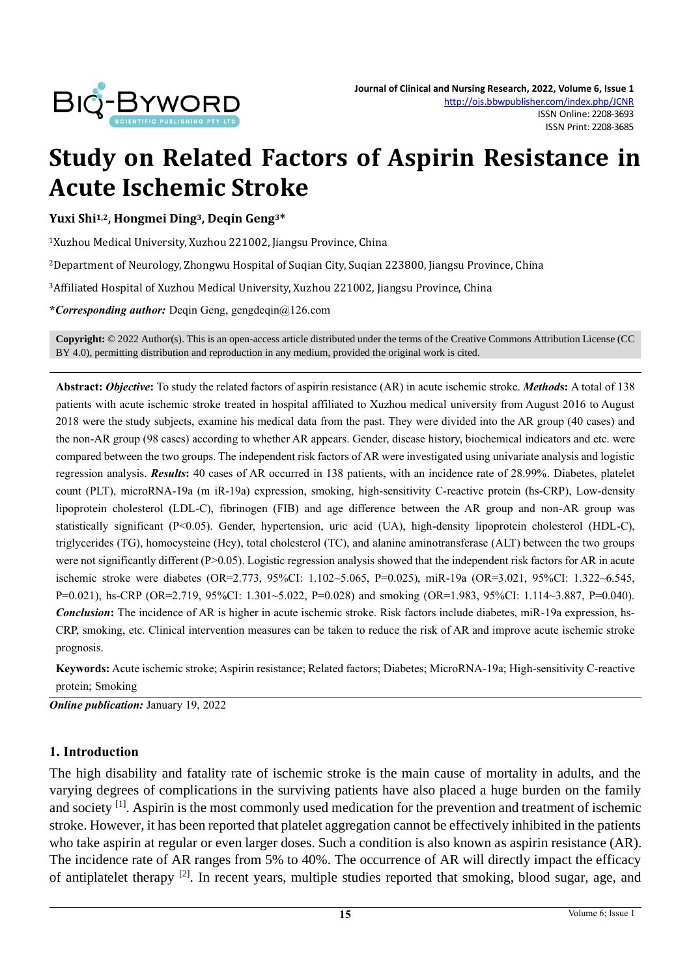

# **Study on Related Factors of Aspirin Resistance in Acute Ischemic Stroke**

**Yuxi Shi1,2, Hongmei Ding3, Deqin Geng3\***

<sup>1</sup>Xuzhou Medical University, Xuzhou 221002, Jiangsu Province, China

<sup>2</sup>Department of Neurology, Zhongwu Hospital of Suqian City, Suqian 223800, Jiangsu Province, China

<sup>3</sup>Affiliated Hospital of Xuzhou Medical University, Xuzhou 221002, Jiangsu Province, China

**\****Corresponding author:* Deqin Geng, gengdeqin@126.com

**Copyright:** © 2022 Author(s). This is an open-access article distributed under the terms of th[e Creative Commons Attribution License \(CC](https://creativecommons.org/licenses/by/4.0/)  [BY 4.0\),](https://creativecommons.org/licenses/by/4.0/) permitting distribution and reproduction in any medium, provided the original work is cited.

**Abstract:** *Objective***:** To study the related factors of aspirin resistance (AR) in acute ischemic stroke. *Method***s:** A total of 138 patients with acute ischemic stroke treated in hospital affiliated to Xuzhou medical university from August 2016 to August 2018 were the study subjects, examine his medical data from the past. They were divided into the AR group (40 cases) and the non-AR group (98 cases) according to whether AR appears. Gender, disease history, biochemical indicators and etc. were compared between the two groups. The independent risk factors of AR were investigated using univariate analysis and logistic regression analysis. *Results***:** 40 cases of AR occurred in 138 patients, with an incidence rate of 28.99%. Diabetes, platelet count (PLT), microRNA-19a (m iR-19a) expression, smoking, high-sensitivity C-reactive protein (hs-CRP), Low-density lipoprotein cholesterol (LDL-C), fibrinogen (FIB) and age difference between the AR group and non-AR group was statistically significant (P<0.05). Gender, hypertension, uric acid (UA), high-density lipoprotein cholesterol (HDL-C), triglycerides (TG), homocysteine (Hcy), total cholesterol (TC), and alanine aminotransferase (ALT) between the two groups were not significantly different (P>0.05). Logistic regression analysis showed that the independent risk factors for AR in acute ischemic stroke were diabetes (OR=2.773, 95%CI: 1.102~5.065, P=0.025), miR-19a (OR=3.021, 95%CI: 1.322~6.545, P=0.021), hs-CRP (OR=2.719, 95%CI: 1.301~5.022, P=0.028) and smoking (OR=1.983, 95%CI: 1.114~3.887, P=0.040). *Conclusion***:** The incidence of AR is higher in acute ischemic stroke. Risk factors include diabetes, miR-19a expression, hs-CRP, smoking, etc. Clinical intervention measures can be taken to reduce the risk of AR and improve acute ischemic stroke prognosis.

**Keywords:** Acute ischemic stroke; Aspirin resistance; Related factors; Diabetes; MicroRNA-19a; High-sensitivity C-reactive protein; Smoking

*Online publication:* January 19, 2022

#### **1. Introduction**

The high disability and fatality rate of ischemic stroke is the main cause of mortality in adults, and the varying degrees of complications in the surviving patients have also placed a huge burden on the family and society <sup>[1]</sup>. Aspirin is the most commonly used medication for the prevention and treatment of ischemic stroke. However, it has been reported that platelet aggregation cannot be effectively inhibited in the patients who take aspirin at regular or even larger doses. Such a condition is also known as aspirin resistance (AR). The incidence rate of AR ranges from 5% to 40%. The occurrence of AR will directly impact the efficacy of antiplatelet therapy [2]. In recent years, multiple studies reported that smoking, blood sugar, age, and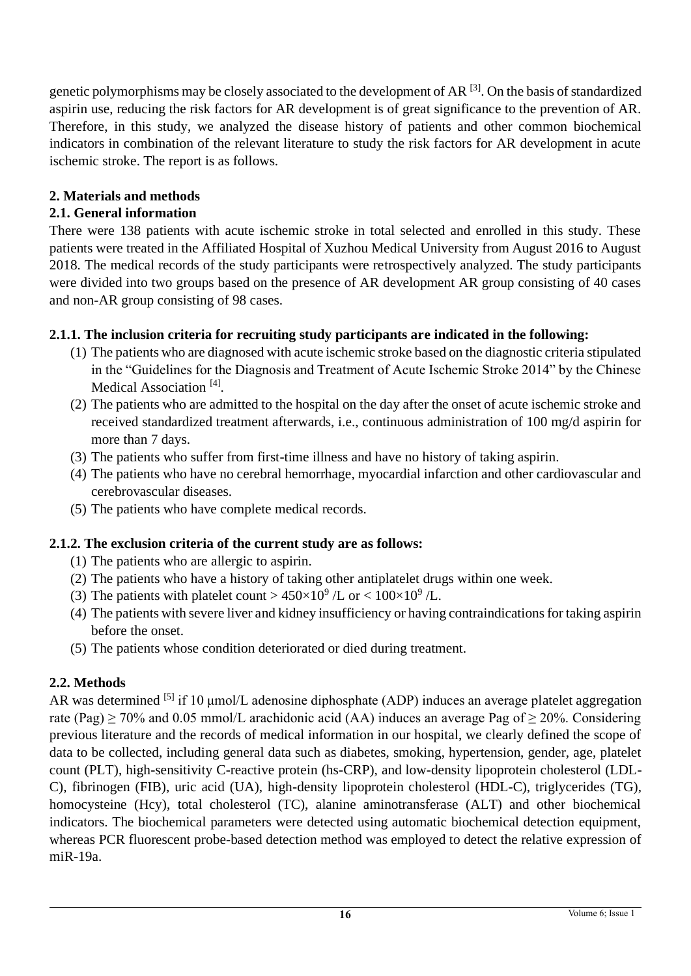genetic polymorphisms may be closely associated to the development of AR [3]. On the basis of standardized aspirin use, reducing the risk factors for AR development is of great significance to the prevention of AR. Therefore, in this study, we analyzed the disease history of patients and other common biochemical indicators in combination of the relevant literature to study the risk factors for AR development in acute ischemic stroke. The report is as follows.

## **2. Materials and methods**

## **2.1. General information**

There were 138 patients with acute ischemic stroke in total selected and enrolled in this study. These patients were treated in the Affiliated Hospital of Xuzhou Medical University from August 2016 to August 2018. The medical records of the study participants were retrospectively analyzed. The study participants were divided into two groups based on the presence of AR development AR group consisting of 40 cases and non-AR group consisting of 98 cases.

## **2.1.1. The inclusion criteria for recruiting study participants are indicated in the following:**

- (1) The patients who are diagnosed with acute ischemic stroke based on the diagnostic criteria stipulated in the "Guidelines for the Diagnosis and Treatment of Acute Ischemic Stroke 2014" by the Chinese Medical Association<sup>[4]</sup>.
- (2) The patients who are admitted to the hospital on the day after the onset of acute ischemic stroke and received standardized treatment afterwards, i.e., continuous administration of 100 mg/d aspirin for more than 7 days.
- (3) The patients who suffer from first-time illness and have no history of taking aspirin.
- (4) The patients who have no cerebral hemorrhage, myocardial infarction and other cardiovascular and cerebrovascular diseases.
- (5) The patients who have complete medical records.

# **2.1.2. The exclusion criteria of the current study are as follows:**

- (1) The patients who are allergic to aspirin.
- (2) The patients who have a history of taking other antiplatelet drugs within one week.
- (3) The patients with platelet count >  $450 \times 10^9$  /L or <  $100 \times 10^9$  /L.
- (4) The patients with severe liver and kidney insufficiency or having contraindications for taking aspirin before the onset.
- (5) The patients whose condition deteriorated or died during treatment.

# **2.2. Methods**

AR was determined <sup>[5]</sup> if 10 μmol/L adenosine diphosphate (ADP) induces an average platelet aggregation rate (Pag)  $\geq$  70% and 0.05 mmol/L arachidonic acid (AA) induces an average Pag of  $\geq$  20%. Considering previous literature and the records of medical information in our hospital, we clearly defined the scope of data to be collected, including general data such as diabetes, smoking, hypertension, gender, age, platelet count (PLT), high-sensitivity C-reactive protein (hs-CRP), and low-density lipoprotein cholesterol (LDL-C), fibrinogen (FIB), uric acid (UA), high-density lipoprotein cholesterol (HDL-C), triglycerides (TG), homocysteine (Hcy), total cholesterol (TC), alanine aminotransferase (ALT) and other biochemical indicators. The biochemical parameters were detected using automatic biochemical detection equipment, whereas PCR fluorescent probe-based detection method was employed to detect the relative expression of miR-19a.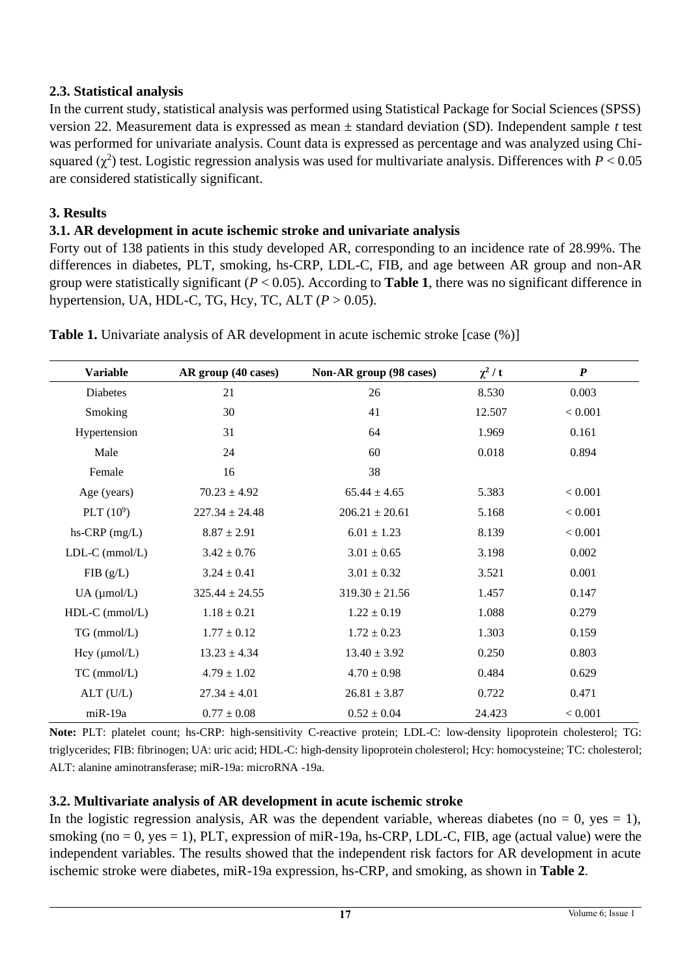## **2.3. Statistical analysis**

In the current study, statistical analysis was performed using Statistical Package for Social Sciences (SPSS) version 22. Measurement data is expressed as mean ± standard deviation (SD). Independent sample *t* test was performed for univariate analysis. Count data is expressed as percentage and was analyzed using Chisquared  $(\chi^2)$  test. Logistic regression analysis was used for multivariate analysis. Differences with  $P < 0.05$ are considered statistically significant.

# **3. Results**

# **3.1. AR development in acute ischemic stroke and univariate analysis**

Forty out of 138 patients in this study developed AR, corresponding to an incidence rate of 28.99%. The differences in diabetes, PLT, smoking, hs-CRP, LDL-C, FIB, and age between AR group and non-AR group were statistically significant (*P* < 0.05). According to **Table 1**, there was no significant difference in hypertension, UA, HDL-C, TG, Hcy, TC, ALT (*P* > 0.05).

| <b>Variable</b>     | AR group (40 cases) | Non-AR group (98 cases) | $\chi^2/t$ | $\boldsymbol{P}$ |
|---------------------|---------------------|-------------------------|------------|------------------|
| Diabetes            | 21                  | 26                      | 8.530      | 0.003            |
| Smoking             | 30                  | 41                      | 12.507     | < 0.001          |
| Hypertension        | 31                  | 64                      | 1.969      | 0.161            |
| Male                | 24                  | 60                      | 0.018      | 0.894            |
| Female              | 16                  | 38                      |            |                  |
| Age (years)         | $70.23 \pm 4.92$    | $65.44 \pm 4.65$        | 5.383      | < 0.001          |
| PLT $(10^9)$        | $227.34 \pm 24.48$  | $206.21 \pm 20.61$      | 5.168      | < 0.001          |
| $hs-CRP$ (mg/L)     | $8.87 \pm 2.91$     | $6.01 \pm 1.23$         | 8.139      | < 0.001          |
| $LDL-C (mmol/L)$    | $3.42 \pm 0.76$     | $3.01 \pm 0.65$         | 3.198      | 0.002            |
| FIB(g/L)            | $3.24 \pm 0.41$     | $3.01 \pm 0.32$         | 3.521      | 0.001            |
| $UA$ ( $\mu$ mol/L) | $325.44 \pm 24.55$  | $319.30 \pm 21.56$      | 1.457      | 0.147            |
| $HDL-C$ (mmol/L)    | $1.18 \pm 0.21$     | $1.22 \pm 0.19$         | 1.088      | 0.279            |
| TG (mmol/L)         | $1.77 \pm 0.12$     | $1.72 \pm 0.23$         | 1.303      | 0.159            |
| Hcy (µmol/L)        | $13.23 \pm 4.34$    | $13.40 \pm 3.92$        | 0.250      | 0.803            |
| $TC$ (mmol/L)       | $4.79 \pm 1.02$     | $4.70 \pm 0.98$         | 0.484      | 0.629            |
| $ALT$ (U/L)         | $27.34 \pm 4.01$    | $26.81 \pm 3.87$        | 0.722      | 0.471            |
| miR-19a             | $0.77 \pm 0.08$     | $0.52 \pm 0.04$         | 24.423     | < 0.001          |

**Table 1.** Univariate analysis of AR development in acute ischemic stroke [case  $(\%)$ ]

**Note:** PLT: platelet count; hs-CRP: high-sensitivity C-reactive protein; LDL-C: low-density lipoprotein cholesterol; TG: triglycerides; FIB: fibrinogen; UA: uric acid; HDL-C: high-density lipoprotein cholesterol; Hcy: homocysteine; TC: cholesterol; ALT: alanine aminotransferase; miR-19a: microRNA -19a.

# **3.2. Multivariate analysis of AR development in acute ischemic stroke**

In the logistic regression analysis, AR was the dependent variable, whereas diabetes (no  $= 0$ , yes  $= 1$ ), smoking (no  $= 0$ , yes  $= 1$ ), PLT, expression of miR-19a, hs-CRP, LDL-C, FIB, age (actual value) were the independent variables. The results showed that the independent risk factors for AR development in acute ischemic stroke were diabetes, miR-19a expression, hs-CRP, and smoking, as shown in **Table 2**.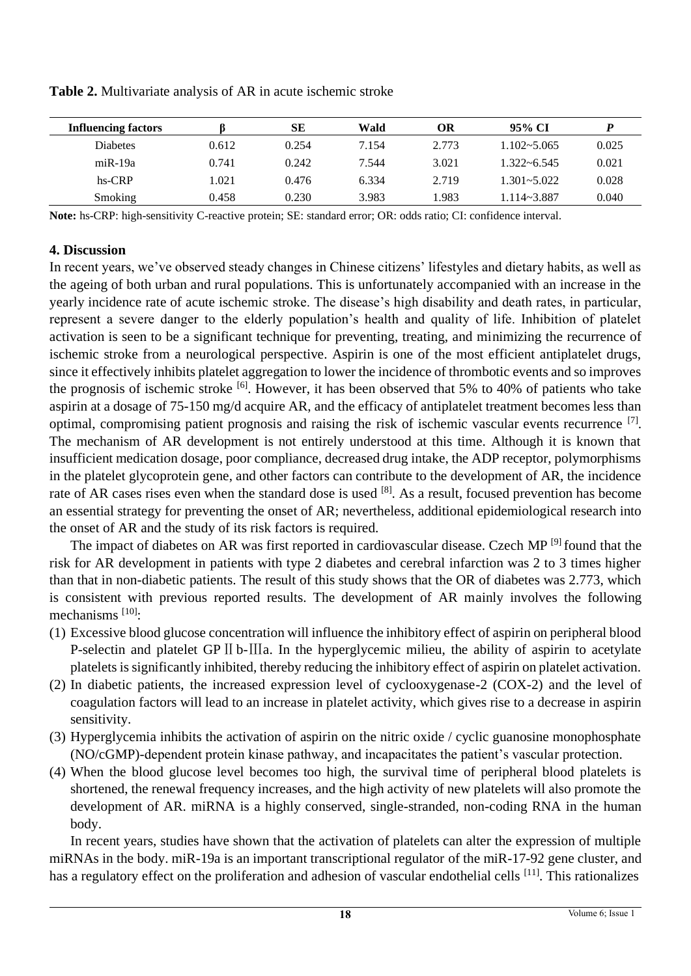| <b>Influencing factors</b> |       | SЕ    | Wald  | OR    | 95% CI          |       |
|----------------------------|-------|-------|-------|-------|-----------------|-------|
| <b>Diabetes</b>            | 0.612 | 0.254 | 7.154 | 2.773 | $1.102 - 5.065$ | 0.025 |
| $miR-19a$                  | 0.741 | 0.242 | 7.544 | 3.021 | $1.322 - 6.545$ | 0.021 |
| hs-CRP                     | 1.021 | 0.476 | 6.334 | 2.719 | $1.301 - 5.022$ | 0.028 |
| <b>Smoking</b>             | 0.458 | 0.230 | 3.983 | .983  | 1.114~3.887     | 0.040 |

**Table 2.** Multivariate analysis of AR in acute ischemic stroke

**Note:** hs-CRP: high-sensitivity C-reactive protein; SE: standard error; OR: odds ratio; CI: confidence interval.

#### **4. Discussion**

In recent years, we've observed steady changes in Chinese citizens' lifestyles and dietary habits, as well as the ageing of both urban and rural populations. This is unfortunately accompanied with an increase in the yearly incidence rate of acute ischemic stroke. The disease's high disability and death rates, in particular, represent a severe danger to the elderly population's health and quality of life. Inhibition of platelet activation is seen to be a significant technique for preventing, treating, and minimizing the recurrence of ischemic stroke from a neurological perspective. Aspirin is one of the most efficient antiplatelet drugs, since it effectively inhibits platelet aggregation to lower the incidence of thrombotic events and so improves the prognosis of ischemic stroke  $\left[6\right]$ . However, it has been observed that 5% to 40% of patients who take aspirin at a dosage of 75-150 mg/d acquire AR, and the efficacy of antiplatelet treatment becomes less than optimal, compromising patient prognosis and raising the risk of ischemic vascular events recurrence [7]. The mechanism of AR development is not entirely understood at this time. Although it is known that insufficient medication dosage, poor compliance, decreased drug intake, the ADP receptor, polymorphisms in the platelet glycoprotein gene, and other factors can contribute to the development of AR, the incidence rate of AR cases rises even when the standard dose is used <sup>[8]</sup>. As a result, focused prevention has become an essential strategy for preventing the onset of AR; nevertheless, additional epidemiological research into the onset of AR and the study of its risk factors is required.

The impact of diabetes on AR was first reported in cardiovascular disease. Czech MP<sup>[9]</sup> found that the risk for AR development in patients with type 2 diabetes and cerebral infarction was 2 to 3 times higher than that in non-diabetic patients. The result of this study shows that the OR of diabetes was 2.773, which is consistent with previous reported results. The development of AR mainly involves the following mechanisms  $[10]$ :

- (1) Excessive blood glucose concentration will influence the inhibitory effect of aspirin on peripheral blood P-selectin and platelet GP II b-IIIa. In the hyperglycemic milieu, the ability of aspirin to acetylate platelets is significantly inhibited, thereby reducing the inhibitory effect of aspirin on platelet activation.
- (2) In diabetic patients, the increased expression level of cyclooxygenase-2 (COX-2) and the level of coagulation factors will lead to an increase in platelet activity, which gives rise to a decrease in aspirin sensitivity.
- (3) Hyperglycemia inhibits the activation of aspirin on the nitric oxide / cyclic guanosine monophosphate (NO/cGMP)-dependent protein kinase pathway, and incapacitates the patient's vascular protection.
- (4) When the blood glucose level becomes too high, the survival time of peripheral blood platelets is shortened, the renewal frequency increases, and the high activity of new platelets will also promote the development of AR. miRNA is a highly conserved, single-stranded, non-coding RNA in the human body.

In recent years, studies have shown that the activation of platelets can alter the expression of multiple miRNAs in the body. miR-19a is an important transcriptional regulator of the miR-17-92 gene cluster, and has a regulatory effect on the proliferation and adhesion of vascular endothelial cells <sup>[11]</sup>. This rationalizes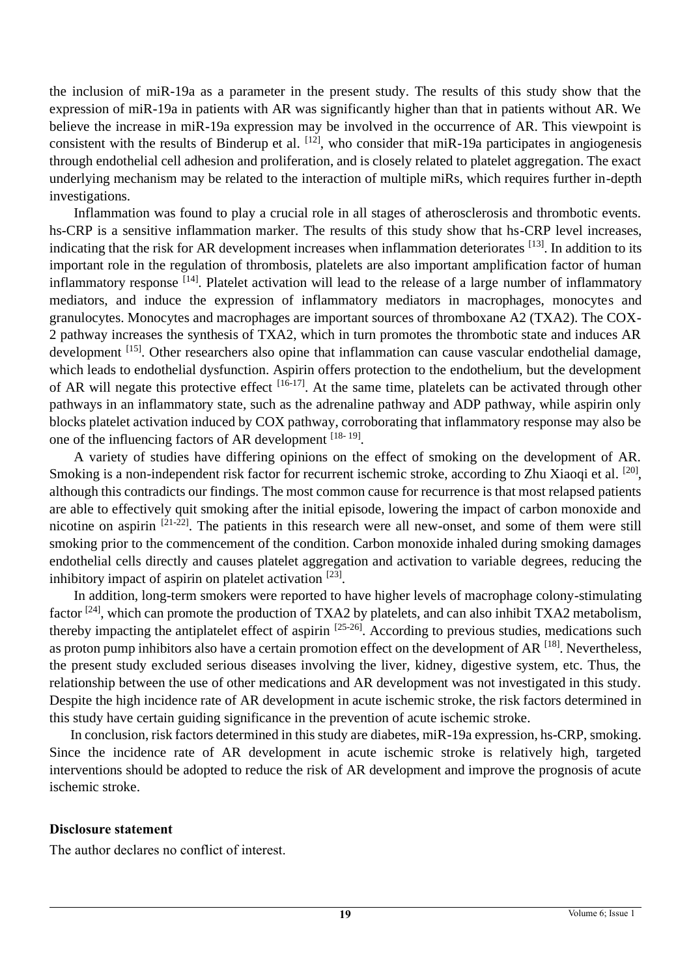the inclusion of miR-19a as a parameter in the present study. The results of this study show that the expression of miR-19a in patients with AR was significantly higher than that in patients without AR. We believe the increase in miR-19a expression may be involved in the occurrence of AR. This viewpoint is consistent with the results of Binderup et al. <sup>[12]</sup>, who consider that miR-19a participates in angiogenesis through endothelial cell adhesion and proliferation, and is closely related to platelet aggregation. The exact underlying mechanism may be related to the interaction of multiple miRs, which requires further in-depth investigations.

Inflammation was found to play a crucial role in all stages of atherosclerosis and thrombotic events. hs-CRP is a sensitive inflammation marker. The results of this study show that hs-CRP level increases, indicating that the risk for AR development increases when inflammation deteriorates [13]. In addition to its important role in the regulation of thrombosis, platelets are also important amplification factor of human inflammatory response [14]. Platelet activation will lead to the release of a large number of inflammatory mediators, and induce the expression of inflammatory mediators in macrophages, monocytes and granulocytes. Monocytes and macrophages are important sources of thromboxane A2 (TXA2). The COX-2 pathway increases the synthesis of TXA2, which in turn promotes the thrombotic state and induces AR development [15]. Other researchers also opine that inflammation can cause vascular endothelial damage, which leads to endothelial dysfunction. Aspirin offers protection to the endothelium, but the development of AR will negate this protective effect  $[16-17]$ . At the same time, platelets can be activated through other pathways in an inflammatory state, such as the adrenaline pathway and ADP pathway, while aspirin only blocks platelet activation induced by COX pathway, corroborating that inflammatory response may also be one of the influencing factors of AR development [18-19].

A variety of studies have differing opinions on the effect of smoking on the development of AR. Smoking is a non-independent risk factor for recurrent ischemic stroke, according to Zhu Xiaoqi et al. <sup>[20]</sup>, although this contradicts our findings. The most common cause for recurrence is that most relapsed patients are able to effectively quit smoking after the initial episode, lowering the impact of carbon monoxide and nicotine on aspirin [21-22]. The patients in this research were all new-onset, and some of them were still smoking prior to the commencement of the condition. Carbon monoxide inhaled during smoking damages endothelial cells directly and causes platelet aggregation and activation to variable degrees, reducing the inhibitory impact of aspirin on platelet activation  $[23]$ .

In addition, long-term smokers were reported to have higher levels of macrophage colony-stimulating factor [24], which can promote the production of TXA2 by platelets, and can also inhibit TXA2 metabolism, thereby impacting the antiplatelet effect of aspirin [25-26]. According to previous studies, medications such as proton pump inhibitors also have a certain promotion effect on the development of AR  $^{[18]}$ . Nevertheless, the present study excluded serious diseases involving the liver, kidney, digestive system, etc. Thus, the relationship between the use of other medications and AR development was not investigated in this study. Despite the high incidence rate of AR development in acute ischemic stroke, the risk factors determined in this study have certain guiding significance in the prevention of acute ischemic stroke.

In conclusion, risk factors determined in this study are diabetes, miR-19a expression, hs-CRP, smoking. Since the incidence rate of AR development in acute ischemic stroke is relatively high, targeted interventions should be adopted to reduce the risk of AR development and improve the prognosis of acute ischemic stroke.

#### **Disclosure statement**

The author declares no conflict of interest.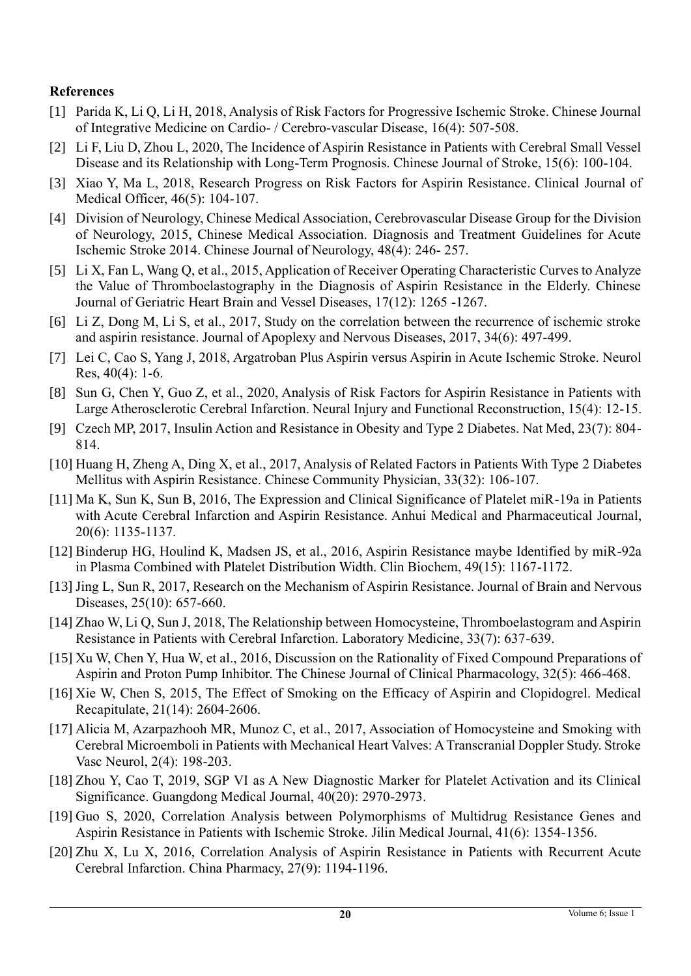#### **References**

- [1] Parida K, Li Q, Li H, 2018, Analysis of Risk Factors for Progressive Ischemic Stroke. Chinese Journal of Integrative Medicine on Cardio- / Cerebro-vascular Disease, 16(4): 507-508.
- [2] Li F, Liu D, Zhou L, 2020, The Incidence of Aspirin Resistance in Patients with Cerebral Small Vessel Disease and its Relationship with Long-Term Prognosis. Chinese Journal of Stroke, 15(6): 100-104.
- [3] Xiao Y, Ma L, 2018, Research Progress on Risk Factors for Aspirin Resistance. Clinical Journal of Medical Officer, 46(5): 104-107.
- [4] Division of Neurology, Chinese Medical Association, Cerebrovascular Disease Group for the Division of Neurology, 2015, Chinese Medical Association. Diagnosis and Treatment Guidelines for Acute Ischemic Stroke 2014. Chinese Journal of Neurology, 48(4): 246- 257.
- [5] Li X, Fan L, Wang Q, et al., 2015, Application of Receiver Operating Characteristic Curves to Analyze the Value of Thromboelastography in the Diagnosis of Aspirin Resistance in the Elderly. Chinese Journal of Geriatric Heart Brain and Vessel Diseases, 17(12): 1265 -1267.
- [6] Li Z, Dong M, Li S, et al., 2017, Study on the correlation between the recurrence of ischemic stroke and aspirin resistance. Journal of Apoplexy and Nervous Diseases, 2017, 34(6): 497-499.
- [7] Lei C, Cao S, Yang J, 2018, Argatroban Plus Aspirin versus Aspirin in Acute Ischemic Stroke. Neurol Res, 40(4): 1-6.
- [8] Sun G, Chen Y, Guo Z, et al., 2020, Analysis of Risk Factors for Aspirin Resistance in Patients with Large Atherosclerotic Cerebral Infarction. Neural Injury and Functional Reconstruction, 15(4): 12-15.
- [9] Czech MP, 2017, Insulin Action and Resistance in Obesity and Type 2 Diabetes. Nat Med, 23(7): 804- 814.
- [10] Huang H, Zheng A, Ding X, et al., 2017, Analysis of Related Factors in Patients With Type 2 Diabetes Mellitus with Aspirin Resistance. Chinese Community Physician, 33(32): 106-107.
- [11] Ma K, Sun K, Sun B, 2016, The Expression and Clinical Significance of Platelet miR-19a in Patients with Acute Cerebral Infarction and Aspirin Resistance. Anhui Medical and Pharmaceutical Journal, 20(6): 1135-1137.
- [12] Binderup HG, Houlind K, Madsen JS, et al., 2016, Aspirin Resistance maybe Identified by miR-92a in Plasma Combined with Platelet Distribution Width. Clin Biochem, 49(15): 1167-1172.
- [13] Jing L, Sun R, 2017, Research on the Mechanism of Aspirin Resistance. Journal of Brain and Nervous Diseases, 25(10): 657-660.
- [14] Zhao W, Li Q, Sun J, 2018, The Relationship between Homocysteine, Thromboelastogram and Aspirin Resistance in Patients with Cerebral Infarction. Laboratory Medicine, 33(7): 637-639.
- [15] Xu W, Chen Y, Hua W, et al., 2016, Discussion on the Rationality of Fixed Compound Preparations of Aspirin and Proton Pump Inhibitor. The Chinese Journal of Clinical Pharmacology, 32(5): 466-468.
- [16] Xie W, Chen S, 2015, The Effect of Smoking on the Efficacy of Aspirin and Clopidogrel. Medical Recapitulate, 21(14): 2604-2606.
- [17] Alicia M, Azarpazhooh MR, Munoz C, et al., 2017, Association of Homocysteine and Smoking with Cerebral Microemboli in Patients with Mechanical Heart Valves: A Transcranial Doppler Study. Stroke Vasc Neurol, 2(4): 198-203.
- [18] Zhou Y, Cao T, 2019, SGP Ⅵ as A New Diagnostic Marker for Platelet Activation and its Clinical Significance. Guangdong Medical Journal, 40(20): 2970-2973.
- [19] Guo S, 2020, Correlation Analysis between Polymorphisms of Multidrug Resistance Genes and Aspirin Resistance in Patients with Ischemic Stroke. Jilin Medical Journal, 41(6): 1354-1356.
- [20] Zhu X, Lu X, 2016, Correlation Analysis of Aspirin Resistance in Patients with Recurrent Acute Cerebral Infarction. China Pharmacy, 27(9): 1194-1196.